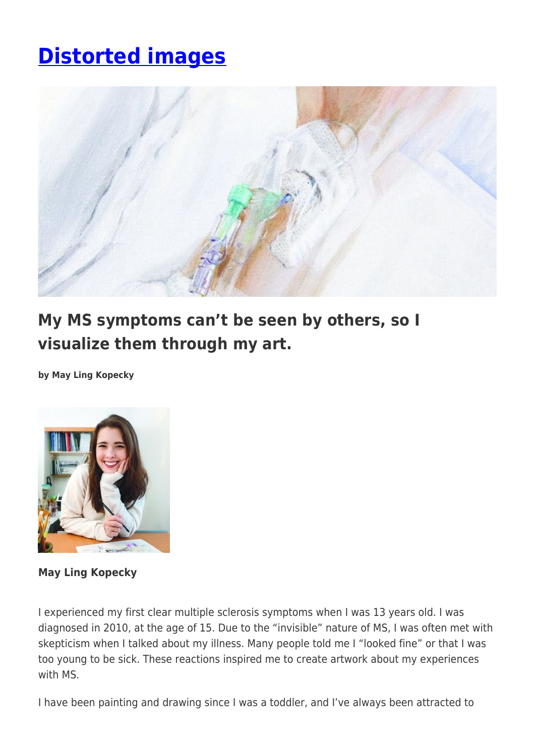## **[Distorted images](https://momentummagazineonline.com/distorted-images/)**



## **My MS symptoms can't be seen by others, so I visualize them through my art.**

**by May Ling Kopecky**



**May Ling Kopecky**

I experienced my first clear multiple sclerosis symptoms when I was 13 years old. I was diagnosed in 2010, at the age of 15. Due to the "invisible" nature of MS, I was often met with skepticism when I talked about my illness. Many people told me I "looked fine" or that I was too young to be sick. These reactions inspired me to create artwork about my experiences with MS.

I have been painting and drawing since I was a toddler, and I've always been attracted to